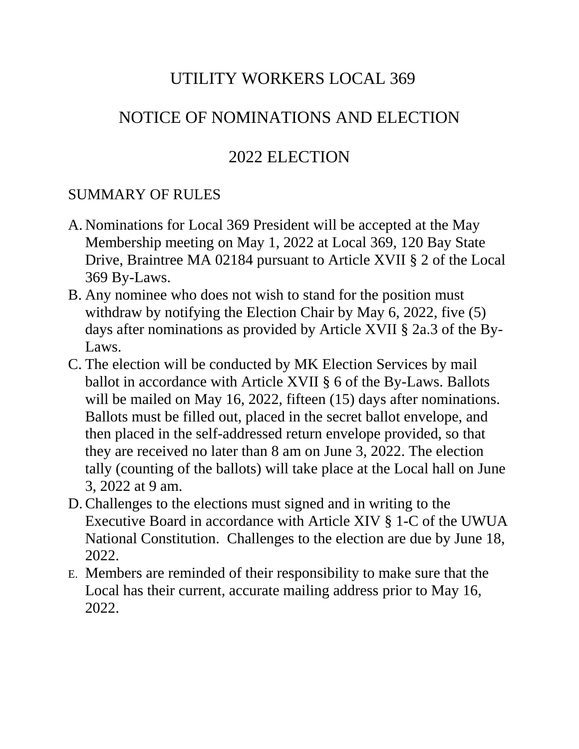# UTILITY WORKERS LOCAL 369

## NOTICE OF NOMINATIONS AND ELECTION

## 2022 ELECTION

#### SUMMARY OF RULES

- A. Nominations for Local 369 President will be accepted at the May Membership meeting on May 1, 2022 at Local 369, 120 Bay State Drive, Braintree MA 02184 pursuant to Article XVII § 2 of the Local 369 By-Laws.
- B. Any nominee who does not wish to stand for the position must withdraw by notifying the Election Chair by May 6, 2022, five (5) days after nominations as provided by Article XVII § 2a.3 of the By-Laws.
- C. The election will be conducted by MK Election Services by mail ballot in accordance with Article XVII § 6 of the By-Laws. Ballots will be mailed on May 16, 2022, fifteen (15) days after nominations. Ballots must be filled out, placed in the secret ballot envelope, and then placed in the self-addressed return envelope provided, so that they are received no later than 8 am on June 3, 2022. The election tally (counting of the ballots) will take place at the Local hall on June 3, 2022 at 9 am.
- D.Challenges to the elections must signed and in writing to the Executive Board in accordance with Article XIV § 1-C of the UWUA National Constitution. Challenges to the election are due by June 18, 2022.
- E. Members are reminded of their responsibility to make sure that the Local has their current, accurate mailing address prior to May 16, 2022.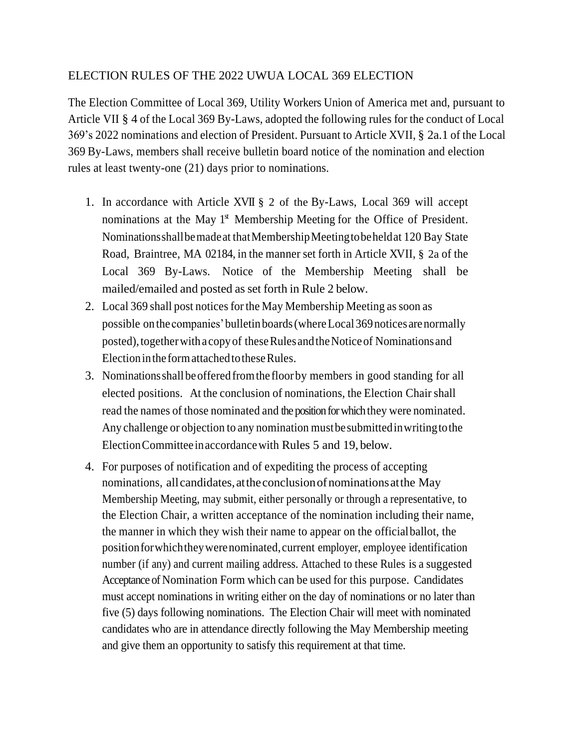#### ELECTION RULES OF THE 2022 UWUA LOCAL 369 ELECTION

The Election Committee of Local 369, Utility Workers Union of America met and, pursuant to Article VII § 4 of the Local 369 By-Laws, adopted the following rules for the conduct of Local 369's 2022 nominations and election of President. Pursuant to Article XVII, § 2a.1 of the Local 369 By-Laws, members shall receive bulletin board notice of the nomination and election rules at least twenty-one (21) days prior to nominations.

- 1. In accordance with Article XVII § 2 of the By-Laws, Local 369 will accept nominations at the May 1<sup>st</sup> Membership Meeting for the Office of President. Nominationsshallbemadeat thatMembershipMeetingtobeheldat 120 Bay State Road, Braintree, MA 02184, in the manner set forth in Article XVII, § 2a of the Local 369 By-Laws. Notice of the Membership Meeting shall be mailed/emailed and posted as set forth in Rule 2 below.
- 2. Local 369 shall post notices for the May Membership Meeting as soon as possible onthe companies'bulletinboards(whereLocal369notices arenormally posted), together with a copy of these Rules and the Notice of Nominations and Election in the form attached to these Rules.
- 3. Nominationsshall beofferedfromthe floorby members in good standing for all elected positions. At the conclusion of nominations, the Election Chair shall read the names of those nominated and the position for which they were nominated. Any challenge or objection to any nomination mustbesubmittedinwritingtothe ElectionCommittee inaccordancewith Rules 5 and 19, below.
- 4. For purposes of notification and of expediting the process of accepting nominations, all candidates, at the conclusion of nominations at the May Membership Meeting, may submit, either personally or through a representative, to the Election Chair, a written acceptance of the nomination including their name, the manner in which they wish their name to appear on the officialballot, the positionforwhichtheywerenominated,current employer, employee identification number (if any) and current mailing address. Attached to these Rules is a suggested Acceptance of Nomination Form which can be used for this purpose. Candidates must accept nominations in writing either on the day of nominations or no later than five (5) days following nominations. The Election Chair will meet with nominated candidates who are in attendance directly following the May Membership meeting and give them an opportunity to satisfy this requirement at that time.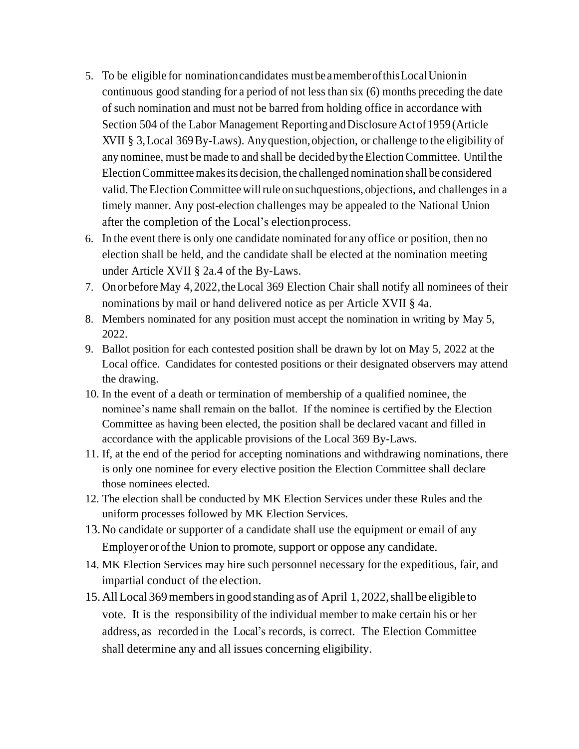- 5. To be eligible for nominationcandidates mustbe amemberofthisLocalUnionin continuous good standing for a period of not less than six (6) months preceding the date of such nomination and must not be barred from holding office in accordance with Section 504 of the Labor Management Reporting and Disclosure Act of 1959 (Article XVII § 3,Local 369By-Laws). Anyquestion, objection, or challenge to the eligibility of any nominee, must be made to and shall be decided by the ElectionCommittee. Untilthe ElectionCommitteemakesits decision, the challenged nomination shall be considered valid. The Election Committee will rule on such questions, objections, and challenges in a timely manner. Any post-election challenges may be appealed to the National Union after the completion of the Local's electionprocess.
- 6. In the event there is only one candidate nominated for any office or position, then no election shall be held, and the candidate shall be elected at the nomination meeting under Article XVII § 2a.4 of the By-Laws.
- 7. On or before May 4, 2022, the Local 369 Election Chair shall notify all nominees of their nominations by mail or hand delivered notice as per Article XVII § 4a.
- 8. Members nominated for any position must accept the nomination in writing by May 5, 2022.
- 9. Ballot position for each contested position shall be drawn by lot on May 5, 2022 at the Local office. Candidates for contested positions or their designated observers may attend the drawing.
- 10. In the event of a death or termination of membership of a qualified nominee, the nominee's name shall remain on the ballot. If the nominee is certified by the Election Committee as having been elected, the position shall be declared vacant and filled in accordance with the applicable provisions of the Local 369 By-Laws.
- 11. If, at the end of the period for accepting nominations and withdrawing nominations, there is only one nominee for every elective position the Election Committee shall declare those nominees elected.
- 12. The election shall be conducted by MK Election Services under these Rules and the uniform processes followed by MK Election Services.
- 13.No candidate or supporter of a candidate shall use the equipment or email of any Employer or ofthe Union to promote, support or oppose any candidate.
- 14. MK Election Services may hire such personnel necessary for the expeditious, fair, and impartial conduct of the election.
- 15. All Local 369 members in good standing as of April 1, 2022, shall be eligible to vote. It is the responsibility of the individual member to make certain his or her address, as recorded in the Local's records, is correct. The Election Committee shall determine any and all issues concerning eligibility.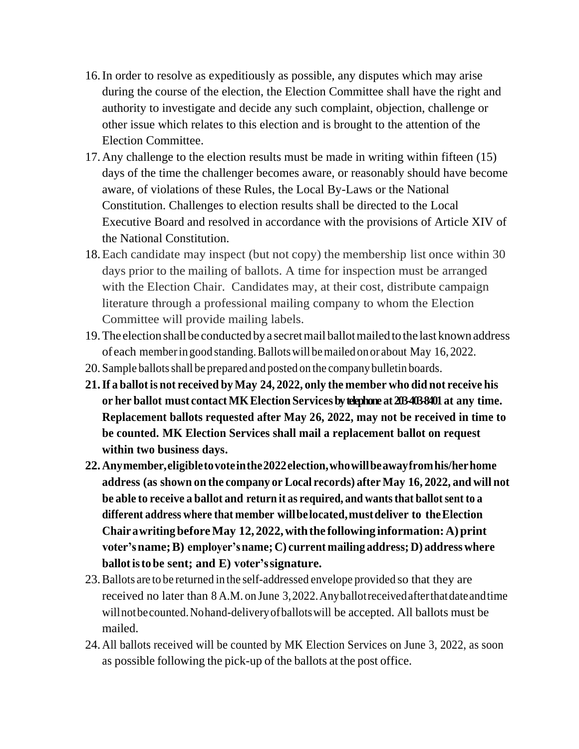- 16.In order to resolve as expeditiously as possible, any disputes which may arise during the course of the election, the Election Committee shall have the right and authority to investigate and decide any such complaint, objection, challenge or other issue which relates to this election and is brought to the attention of the Election Committee.
- 17.Any challenge to the election results must be made in writing within fifteen (15) days of the time the challenger becomes aware, or reasonably should have become aware, of violations of these Rules, the Local By-Laws or the National Constitution. Challenges to election results shall be directed to the Local Executive Board and resolved in accordance with the provisions of Article XIV of the National Constitution.
- 18.Each candidate may inspect (but not copy) the membership list once within 30 days prior to the mailing of ballots. A time for inspection must be arranged with the Election Chair. Candidates may, at their cost, distribute campaign literature through a professional mailing company to whom the Election Committee will provide mailing labels.
- 19.The election shall be conducted bya secretmail ballotmailed to the last known address of each memberin good standing.Ballotswill bemailed on or about May 16, 2022.
- 20. Sample ballots shall be prepared and posted on the company bulletin boards.
- **21.If a ballot is not received byMay 24, 2022, only the member who did not receive his or her ballot must contactMKElection Servicesbytelephone at203-403-8401 at any time. Replacement ballots requested after May 26, 2022, may not be received in time to be counted. MK Election Services shall mail a replacement ballot on request within two business days.**
- **22.Anymember,eligibletovoteinthe2022election,whowillbeawayfromhis/herhome address (as shown on the company or Local records) after May 16, 2022, and will not be able to receive a ballot and return it as required, and wantsthat ballotsent to a different address where that member willbelocated,mustdeliver to theElection ChairawritingbeforeMay 12, 2022,withthe following information:A)print voter'sname;B) employer'sname; C) current mailing address; D) address where ballotisto be sent; and E) voter'ssignature.**
- 23.Ballots are to be returned in the self-addressed envelope provided so that they are received no later than 8 A.M. on June 3,2022.Anyballotreceivedafterthatdateandtime willnotbecounted.Nohand-deliveryofballotswill be accepted. All ballots must be mailed.
- 24.All ballots received will be counted by MK Election Services on June 3, 2022, as soon as possible following the pick-up of the ballots at the post office.